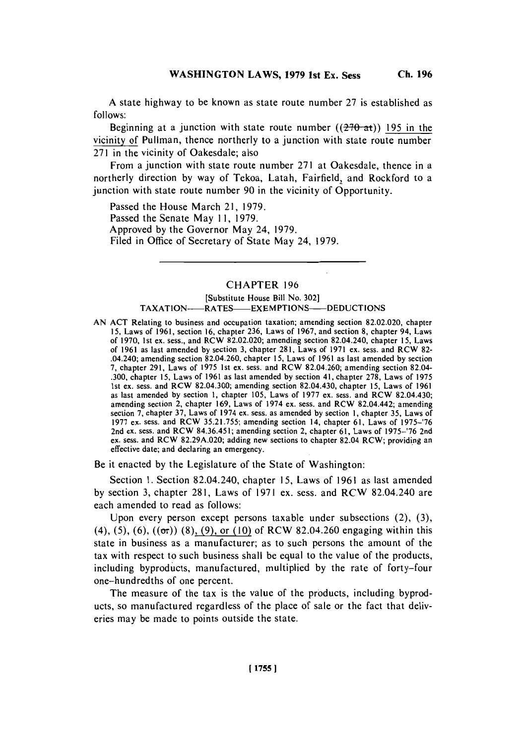**A** state highway to be known as state route number **27** is established as **follows:**

Beginning at a junction with state route number  $((270- $\alpha$ t))$  195 in the vicinity of Pullman, thence northerly to a junction with state route number **271** in the vicinity of Oakesdale; also

From a junction with state route number **271** at Oakesdale, thence in a northerly direction **by** way of Tekoa, Latah, Fairfield, and Rockford to a junction with state route number **90** in the vicinity of Opportunity.

Passed the House March 21, **1979.** Passed the Senate May **11, 1979.** Approved **by** the Governor May 24, **1979.** Filed in Office of Secretary of State May 24, **1979.**

# CHAPTER **196**

# [Substitute House Bill No. **302]** TAXATION-**-----RATES-------EXEMPTIONS-------DEDUCTIONS**

**AN ACT** Relating to business and occupation taxation; amending section **82.02.020,** chapter **15,** Laws of **1961,** section **16,** chapter **236,** Laws of **1967,** and section **8,** chapter 94, Laws of **1970,** 1st ex. sess., and RCW **82.02.020;** amending section 82.04.240, chapter **15,** Laws of **1961** as last amended **by** section **3,** chapter **281,** Laws of **1971** ex. sess. and RCW **82-** .04.240; amending section 82.04.260, chapter **15,** Laws of **1961** as last amended **by** section **7,** chapter **291,** Laws of **1975** 1st cx. sess. and RCW 82.04.260; amending section 82.04- **.300,** chapter **15,** Laws of **1961** as last amended **by** section 41, chapter **278,** Laws of **1975** 1st ex. sess. and RCW 82.04.300; amending section 82.04.430, chapter **15,** Laws of **1961** as last amended **by** section **1,** chapter **105,** Laws of **1977** ex. sess. and RCW 82.04.430; amending section 2, chapter **169,** Laws of 1974 ex. sess. and RCW 82.04.442; amending section **7,** chapter **37,** Laws of 1974 ex. sess. as amended **by** section **1,** chapter **35,** Laws of **1977** ex. sess. and RCW **35.21.755;** amending section 14, chapter **61,** Laws of **1975-'76** 2nd ex. sess. and RCW 84.36.451; amending section 2, chapter **61,** Laws of **1975-'76** 2nd ex. sess. and RCW **82.29A.020;** adding new sections to chapter 82.04 RCW; providing an effective date; and declaring an emergency.

Be it enacted **by** the Legislature of the State of Washington:

Section **1.** Section 82.04.240, chapter **15,** Laws of **1961** as last amended **by** section **3,** chapter **281,** Laws of **1971** ex. sess. and RCW 82.04.240 are each amended to read as follows:

Upon every person except persons taxable under subsections (2), **(3),** (4), **(5), (6),** ((Or)) **(8), (9),** or **(10) of** RCW 82.04.260 engaging within this state in business as a manufacturer; as to such persons the amount of the tax with respect to such business shall be equal to the value of the products, including byproducts, manufactured, multiplied **by** the rate of forty-four one-hundredths **of** one percent.

The measure of the tax is the value **of** the products, including byproducts, so manufactured regardless of the place of sale or the fact that deliveries may be made to points outside the state.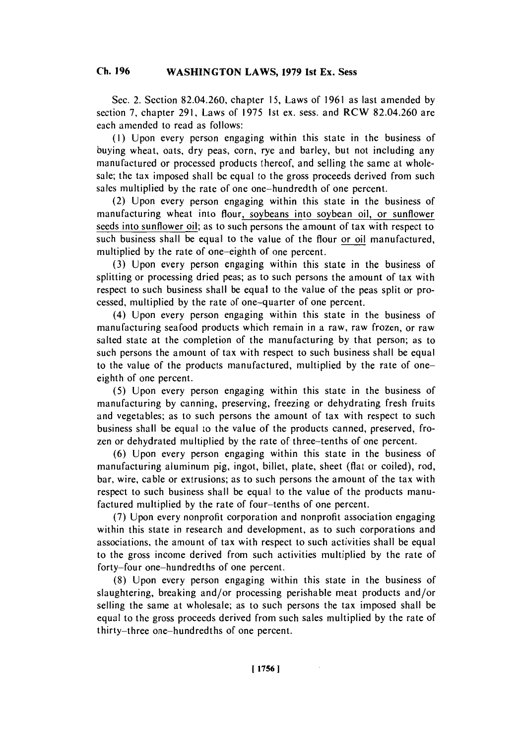### **Ch. WASHINGTON 196 LAWS, 1979 1st Ex. Sess Ch. 196**

Sec. 2. Section 82.04.260, chapter **15,** Laws of **1961** as last amended **by** section **7,** chapter **291,** Laws of **1975** 1st ex. sess. and RCW 82.04.260 are each amended to read as follows:

**(1)** Upon every person engaging within this state in the business of buying wheat, oats, dry peas, corn, rye and barley, but not including any manufactured or processed products thereof, and selling the same at wholesale; the tax imposed shall **be** equal to the gross proceeds derived from such sales multiplied **by** the rate of one one-hundredth of one percent.

(2) Upon every person engaging within this state in the business of manufacturing wheat into flour, soybeans into soybean oil, or sunflower seeds into sunflower oil; as to such persons the amount of tax with respect to such business shall be equal to the value of the flour or oil manufactured, multiplied **by** the rate of one-eighth of one percent.

**(3)** Upon every person engaging within this state in the business of splitting or processing dried peas; as to such persons the amount of tax with respect to such business shall be equal to the value of the peas split or processed, multiplied **by** the rate of one-quarter of one percent.

(4) Upon every person engaging within this state in the business of manufacturing seafood products which remain in a raw, raw frozen, or raw salted state at the completion of the manufacturing **by** that person; as to such persons the amount of tax with respect to such business shall be equal to the value of the products manufactured, multiplied **by** the rate of oneeighth of one percent.

**(5)** Upon every person engaging within this state in the business of manufacturing **by** canning, preserving, freezing or dehydrating fresh fruits and vegetables; as to such persons the amount of tax with respect to such business shall be equal to the value of the products canned, preserved, frozen or dehydrated multiplied **by** the rate of three-tenths of one percent.

**(6)** Upon every person engaging within this state in the business of manufacturing aluminum **pig,** ingot, billet, plate, sheet (flat or coiled), rod, bar, wire, cable or extrusions; as to such persons the amount of the tax with respect to such business shall be equal to the value of the products manufactured multiplied **by** the rate of four-tenths of one percent.

**(7)** Upon every nonprofit corporation and nonprofit association engaging within this state in research and development, as to such corporations and associations, the amount of tax with respect to such activities shall be equal to the gross income derived from such activities multiplied **by** the rate of forty-four one-hundredths of one percent.

**(8)** Upon every person engaging within this state in the business of slaughtering, breaking and/or processing perishable meat products and/or selling the same at wholesale; as to such persons the tax imposed shall be equal to the gross proceeds derived from such sales multiplied **by** the rate of thirty-three one-hundredths of one percent.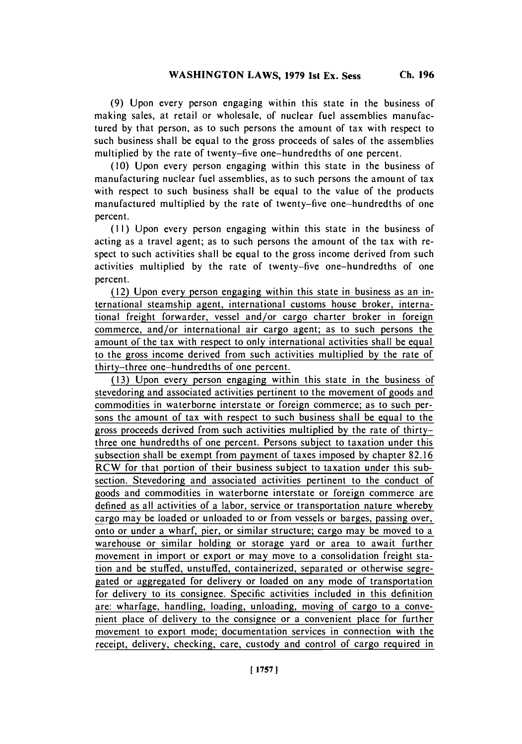**(9)** Upon every person engaging within this state in the business of making sales, at retail or wholesale, of nuclear fuel assemblies manufactured **by** that person, as to such persons the amount of tax with respect to such business shall be equal to the gross proceeds of sales of the assemblies multiplied **by** the rate of twenty-five one-hundredths of one percent.

**(10)** Upon every person engaging within this state in the business of manufacturing nuclear fuel assemblies, as to such persons the amount of tax with respect to such business shall be equal to the value of the products manufactured multiplied **by** the rate of twenty-five one-hundredths of one percent.

**(I I)** Upon every person engaging within this state in the business of acting as a travel agent; as to such persons the amount of the tax with respect to such activities shall be equal to the gross income derived from such activities multiplied **by** the rate of twenty-five one-hundredths of one percent.

(12) Upon every person engaging within this state in business as an international steamship agent, international customs house broker, international freight forwarder, vessel and/or cargo charter broker in foreign commerce, and/or international air cargo agent; as to such persons the amount of the tax with respect to only international activities shall be equal to the gross income derived from such activities multiplied **by** the rate of thirty-three one-hundredths of one percent.

**(1 3)** Upon every person engaging within this state in the business **of** stevedoring and associated activities pertinent to the movement of goods and commodities in waterborne interstate or foreign commerce; as to such persons the amount of tax with respect to such business shall be equal to the gross proceeds derived from such activities multiplied **by** the rate of thirtythree one hundredths of one percent. Persons subject to taxation under this subsection shall be exempt from payment of taxes imposed **by** chapter **82.16** RCW for that portion of their business subject to taxation under this subsection. Stevedoring and associated activities pertinent to the conduct of goods and commodities in waterborne interstate or foreign commerce are defined as all activities of a labor, service or transportation nature wherebycargo may be loaded or unloaded to or from vessels or barges, passing over, onto or under a wharf, pier, or similar structure; cargo may be moved to a warehouse or similar holding or storage yard or area to await further movement in import or export or may move to a consolidation freight station and be stuffed, unstuffed, containerized, separated or otherwise segregated or aggregated for delivery or loaded on any mode of transportation for delivery to its consignee. Specific activities included in this definition are: wharfage, handling, loading, unloading, moving of cargo to a convenient place of delivery to the consignee or a convenient place for further movement to export mode: documentation services in connection with the receipt, delivery, checking, care, custody and control of cargo required in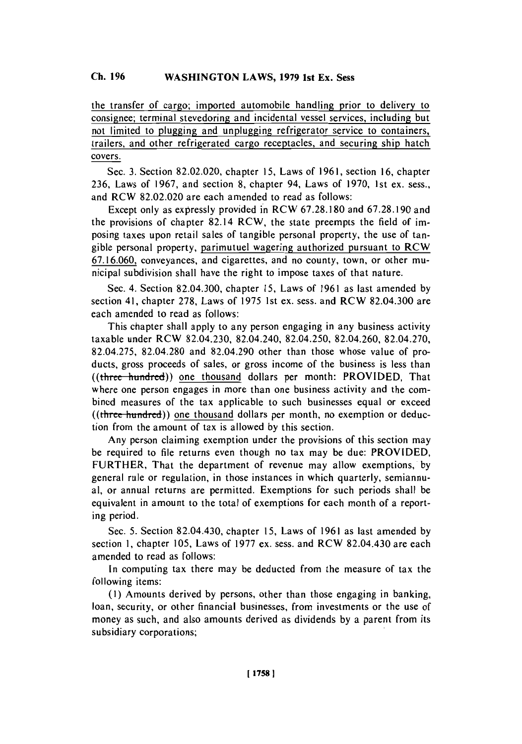the transfer of cargo; imported automobile handling prior to delivery to consignee; terminal stevedoring and incidental vessel services, including but not limited to plugging and unplugging refrigerator service to containers, trailers, and other refrigerated cargo receptacles, and securing ship hatch covers.

Sec. **3.** Section **82.02.020,** chapter **15,** Laws of **1961,** section **16,** chapter **236,** Laws of **1967,** and section **8,** chapter 94, Laws of **1970,** 1st ex. sess., and RCW **82.02.020** are each amended to read as follows:

Except only as expressly provided in RCW **67.28.180** and **67.28.190** and the provisions of chapter 82.14 RCW, the state preempts the field of imposing taxes upon retail sales of tangible personal property, the use of tangible personal property, parimutuel wagering authorized pursuant to RCW **67.16.060,** conveyances, and cigarettes, and no county, town, or other municipal subdivision shall have the right to impose taxes of that nature.

Sec. 4. Section 82.04.300, chapter *15,* Laws of **1961** as last amended **by** section 41, chapter **278,** Laws of **1975** 1st ex. sess. and RCW 82.04.300 are each amended to read as follows:

This chapter shall apply to any person engaging in any business activity taxable under RCW 82.04.230, 82.04.240, 82.04.250, 82.04.260, **82.04.270, 82.04.275, 82.04.280** and 82.04.290 other than those whose value of products, gross proceeds of sales, or gross income of the business is less than  $((three-hundred))$  one thousand dollars per month: PROVIDED, That where one person engages in more than one business activity and the combined measures of the tax applicable to such businesses equal or exceed  $((three hundred))$  one thousand dollars per month, no exemption or deduction from the amount of tax is allowed **by** this section.

Any person claiming exemption under the provisions of this section may be required to file returns even though no tax may be due: PROVIDED, FURTHER, That the department of revenue may allow exemptions, **by** general rule or regulation, in those instances in which quarterly, semiannual, or annual returns are permitted. Exemptions for such periods shall be equivalent in amount to the total of exemptions for each month of a reporting period.

Sec. **5.** Section 82.04.430, chapter **15,** Laws of **1961** as last amended **by** section **1,** chapter **105,** Laws of **1977** ex. sess. and RCW 82.04.430 are each amended to read as follows:

In computing tax there may be deducted from the measure of tax the following items:

**(I)** Amounts derived **by** persons, other than those engaging in banking, loan, security, or other financial businesses, from investments or the use of money as such, and also amounts derived as dividends **by** a parent from its subsidiary corporations;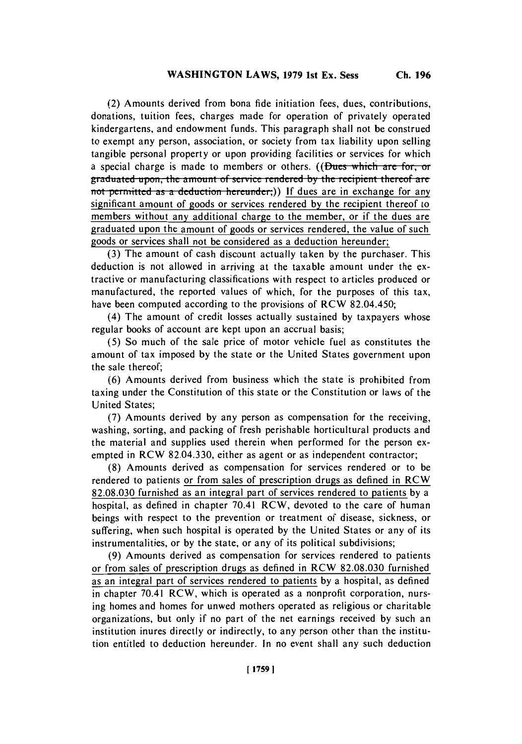(2) Amounts derived from bona fide initiation fees, dues, contributions, donations, tuition fees, charges made for operation of privately operated kindergartens, and endowment funds. This paragraph shall not be construed to exempt any person, association, or society from tax liability upon selling tangible personal property or upon providing facilities or services for which a special charge is made to members or others. ((Dues which are for, or **graduated upon, the amount of service rendered by the recipient thereof are** not permitted as a deduction hereunder;)) If dues are in exchange for any significant amount of goods or services rendered **by** the recipient thereof to members without any additional charge to the member, or if the dues are graduated upon the amount of goods or services rendered, the value of such goods or services shall not be considered as a deduction hereunder;

**(3)** The amount of cash discount actually taken **by** the purchaser. This deduction is not allowed in arriving at the taxable amount under the extractive or manufacturing classifications with respect to articles produced or manufactured, the reported values of which, for the purposes of this tax, have been computed according to the provisions of RCW 82.04.450;

(4) The amount of credit losses actually sustained **by** taxpayers whose regular books of account are kept upon an accrual basis;

**(5)** So much of the sale price of motor vehicle fuel as constitutes the amount of tax imposed **by** the state or the United States government upon the sale thereof;

**(6)** Amounts derived from business which the state is prohibited from taxing under the Constitution of this state or the Constitution or laws of the United States;

**(7)** Amounts derived **by** any person as compensation for the receiving, washing, sorting, and packing of fresh perishable horticultural products and the material and supplies used therein when performed for the person exempted in RCW **82.04.330,** either as agent or as independent contractor;

**(8)** Amounts derived as compensation for services rendered or to be rendered to patients or from sales of prescription drugs as defined in RCW **82.08.030** furnished as an integral part of services rendered to patients **by** a hospital, as defined in chapter 70.41 RCW, devoted to the care of human beings with respect to the prevention or treatment of disease, sickness, or suffering, when such hospital is operated **by** the United States or any of its instrumentalities, or **by** the state, or any of its political subdivisions;

**(9)** Amounts derived as compensation for services rendered to patients or from sales of prescription drugs as defined in RCW **82.08.030** furnished as an integral part of services rendered to patients **by** a hospital, as defined in chapter 70.41 RCW, which is operated as a nonprofit corporation, nursing homes and homes for unwed mothers operated as religious or charitable organizations, but only if no part of the net earnings received **by** such an institution inures directly or indirectly, to any person other than the institution entitled to deduction hereunder. In no event shall any such deduction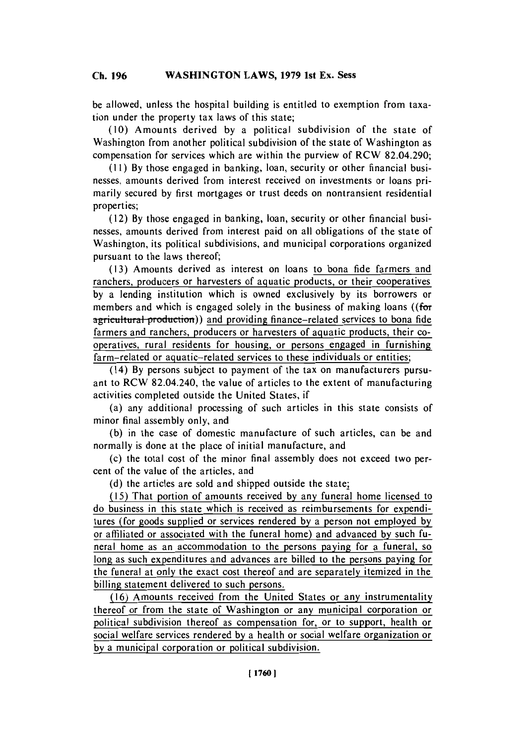#### **Ch. WASHINGTON 196 LAWS, 1979 1st Ex. Sess Ch. 196**

be allowed, unless the hospital building is entitled to exemption from taxation under the property tax laws of this state;

**(10)** Amounts derived **by** a political subdivision of the state of Washington from another political subdivision of the state of Washington as compensation for services which are within the purview of RCW 82.04.290;

**(11) By** those engaged in banking, loan, security or other financial businesses, amounts derived from interest received on investments or loans primarily secured **by** first mortgages or trust deeds on nontransient residential properties;

**(1** 2) **By** those engaged in banking, loan, security or other financial businesses, amounts derived from interest paid on all obligations of the state of Washington, its political subdivisions, and municipal corporations organized pursuant to the laws thereof;

**(13)** Amounts derived as interest on loans to bona fide farmers and ranchers, producers or harvesters of aquatic products, or their cooperatives **by** a lending institution which is owned exclusively **by** its borrowers or members and which is engaged solely in the business of making loans ((for agricultural production)) and providing finance-related services to bona fide farmers and ranchers, producers or harvesters of aquatic products, their cooperatives, rural residents for housing, or persons engaged in furnishing farm-related or aquatic-related services to these individuals or entities;

**(** 14) **By** persons subject to payment of the tax on manufacturers pursuant to RCW 82.04.240, the value of articles to the extent of manufacturing activities completed outside the United States, if

(a) any additional processing of such articles in this state consists of minor final assembly only, and

**(b)** in the case of domestic manufacture of such articles, can be and normally is done at the place of initial manufacture, and

(c) the total cost of the minor final assembly does not exceed two percent of the value of the articles, and

**(d)** the articles are sold and shipped outside the state;

**(1 5)** That portion of amounts received **by** any funeral home licensed to do business in this state which is received as reimbursements for expenditures (for goods supplied or services rendered **by** a person not employed **by** or affiliated or associated with the funeral home) and advanced **by** such funeral home as an accommodation to the persons paying for a funeral, so long as such expenditures and advances are billed to the persons paying for the funeral at only the exact cost thereof and are separately itemized in the billing statement delivered to such persons.

**(16)** Amounts received from the United States or any instrumentality thereof or from the state of Washington or any municipal corporation or political subdivision thereof as compensation for, or to support, health or social welfare services rendered **by** a health or social welfare organization or by a municipal corporation or political subdivision.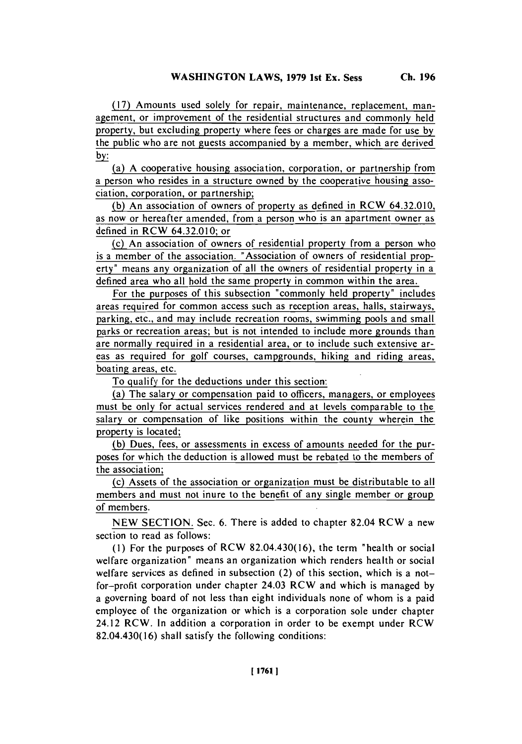**(17)** Amounts used solely for repair, maintenance, replacement, management, or improvement of the residential structures and commonly held property, but excluding property where fees or charges are made for use **by** the public who are not guests accompanied **by** a member, which are derived by:

(a) **A** cooperative housing association, corporation, or partnership from a person who resides in a structure owned **by** the cooperative housing association, corporation, or partnership;

**(b)** An association of owners of property as defined in RCW 64.32.0 10, as now or hereafter amended, from a person who is an apartment owner as defined in RCW 64.32.010; or

(c) An association of owners of residential property from a person who is a member of the association. "Association of owners of residential property" means any organization of all the owners of residential property in a defined area who all hold the same property in common within the area.

For the purposes of this subsection "commonly held property" includes areas required for common access such as reception areas, halls, stairways, parking, etc., and may include recreation rooms, swimming pools and small parks or recreation areas; but is not intended to include more grounds than are normally required in a residential area, or to include such extensive areas as required for golf courses, campgrounds, hiking and riding areas, boating areas, etc.

To qualify for the deductions under this section:

(a) The salary or compensation paid to officers, managers, or employees must be only for actual services rendered and at levels comparable to the salary or compensation of like positions within the county wherein the property is located;

**(b)** Dues, fees, or assessments in excess of amounts needed for the purposes for which the deduction is allowed must be rebated to the members of the association;

(c) Assets of the association or organization must be distributable to all members and must not inure to the benefit of any single member or group of members.

**NEW SECTION.** Sec. **6.** There is added to chapter 82.04 RCW a new section to read as follows:

**(1)** For the purposes of RCW 82.04.430(16), the term "health or social welfare organization" means an organization which renders health or social welfare services as defined in subsection (2) of this section, which is a notfor-profit corporation under chapter 24.03 RCW and which is managed **by** a governing board of not less than eight individuals none of whom is a paid employee of the organization or which is a corporation sole under chapter 24.12 RCW. In addition a corporation in order to be exempt under RCW 82.04.430(16) shall satisfy the following conditions: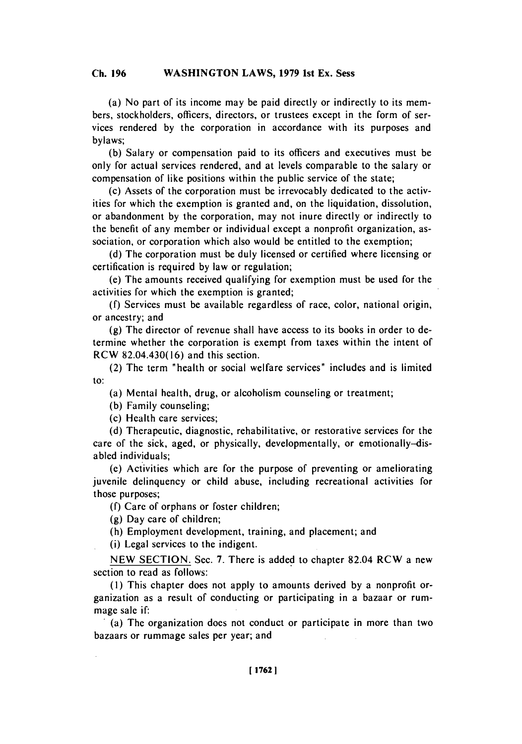#### **Ch. WASHINGTON 196 LAWS, 1979 1st Ex. Sess Ch. 196**

(a) No part of its income may be paid directly or indirectly to its members, stockholders, officers, directors, or trustees except in the form of services rendered **by** the corporation in accordance with its purposes and bylaws;

**(b)** Salary or compensation paid to its officers and executives must be only for actual services rendered, and at levels comparable to the salary or compensation of like positions within the public service of the state;

(c) Assets of the corporation must be irrevocably dedicated to the activities for which the exemption is granted and, on the liquidation, dissolution, or abandonment **by** the corporation, may not inure directly or indirectly to the benefit of any member or individual except a nonprofit organization, association, or corporation which also would be entitled to the exemption;

**(d)** The corporation must be duly licensed or certified where licensing or certification is required **by** law or regulation;

(e) The amounts received qualifying for exemption must be used for the activities for which the exemption is granted;

**(f)** Services must be available regardless of race, color, national origin, or ancestry; and

**(g)** The director of revenue shall have access to its books in order to determine whether the corporation is exempt from taxes within the intent of RCW 82.04.430(16) and this section.

(2) The term "health or social welfare services" includes and is limited to:

(a) Mental health, drug, or alcoholism counseling or treatment;

**(b)** Family counseling;

(c) Health care services;

**(d)** Therapeutic, diagnostic, rehabilitative, or restorative services for the care of the sick, aged, or physically, developmentally, or emotionally-disabled individuals;

(c) Activities which are for the purpose of preventing or ameliorating juvenile delinquency or child abuse, including recreational activities for those purposes;

**(f)** Care of orphans or foster children;

**(g)** Day care of children;

(h) Employment development, training, and placement; and

(i) Legal services to the indigent.

**NEW SECTION.** Sec. **7.** There is added to chapter 82.04 RCW a new section to read as follows:

**(I)** This chapter does not apply to amounts derived **by** a nonprofit organization as a result of conducting or participating in a bazaar or rummage sale if:

.(a) Thc organization does not conduct or participate in more than two bazaars or rummage sales per year; and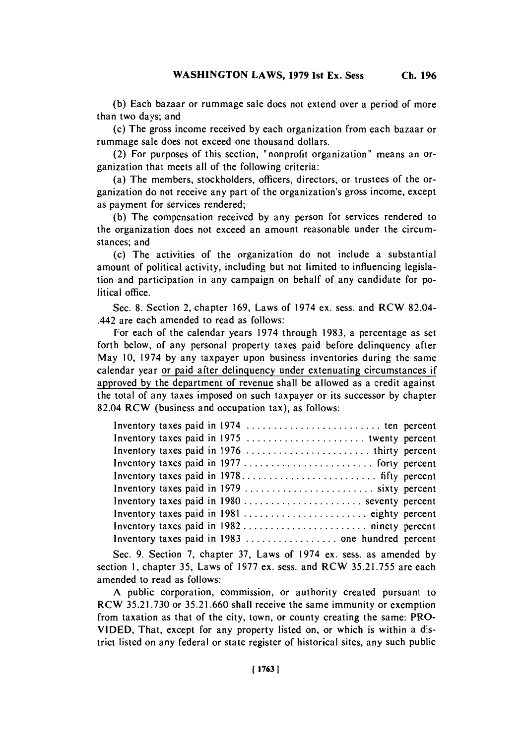**(b)** Each bazaar or rummage sale does not extend over a period of more than two days; and

(c) The gross income received **by** each organization from each bazaar or rummage sale does not exceed one thousand dollars.

(2) For purposes of this section, "nonprofit organization" means an organization that meets all of the following criteria:

(a) The members, stockholders, officers, directors, or trustees of the organization do not receive any part of the organization's gross income, except as payment for services rendered;

**(b)** The compensation received **by** any person for services rendered to the organization does not exceed an amount reasonable under the circumstances; and

(c) The activities of the organization do not include a substantial amount of political activity, including but not limited to influencing legislation and participation in any campaign on behalf of any candidate for political office.

Sec. **8.** Section 2, chapter **169,** Laws of 1974 ex. sess. and RCW 82.04- .442 are each amended to read as follows:

For each of the calendar years 1974 through **1983,** a percentage as set forth below, of any personal property taxes paid before delinquency after May **10,** 1974 **by** any taxpayer upon business inventories during the same calendar year or paid after delinquency under extenuating circumstances if approved **by** the department of revenue shall be allowed as a credit against the total of any taxes imposed on such taxpayer or its successor **by** chapter 82.04 RCW (business and occupation tax), as follows:

| Inventory taxes paid in 1980  seventy percent |  |
|-----------------------------------------------|--|
|                                               |  |
|                                               |  |
|                                               |  |

Sec. **9.** Section **7,** chapter **37,** Laws of 1974 ex. sess. as amended **by** section **1,** chapter **35,** Laws of **1977** ex. sess. and RCW **35.2 1.755** are each amended to read as follows:

**A** public corporation, commission, or authority created pursuant to **RCW 35.21.730** or **35.21.660** shall receive the same immunity or exemption from taxation as that of the city, town, or county creating the same: PRO-**VIDED,** That, except for any property listed on, or which is within a district listed on any federal or state register of historical sites, any such public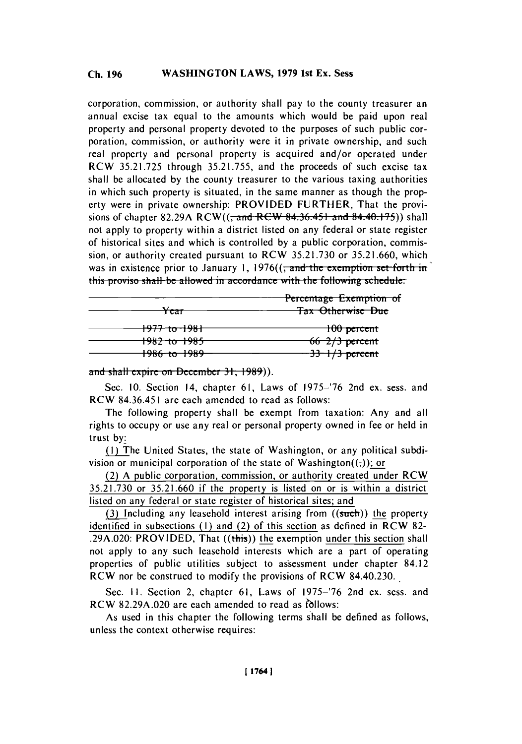#### **WASHINGTON LAWS, 1979 1st Ex. Sess Ch. 196**

corporation, commission, or authority shall pay to the county treasurer an annual excise tax equal to the amounts which would be paid upon real property and personal property devoted to the purposes of such public corporation, commission, or authority were it in private ownership, and such real property and personal property is acquired and/or operated under RCW **35.21.725** through **35.21.755,** and the proceeds of such excise tax shall be allocated **by** the county treasurer to the various taxing authorities in which such property is situated, in the same manner as though the property were in private ownership: PROVIDED FURTHER, That the provisions of chapter 82.29A RCW((<del>, and RCW 84.36.451 and 84.40.175</del>)) shall not apply to property within a district listed on any federal or state register of historical sites and which is controlled **by** a public corporation, commission, or authority created pursuant to RCW **35.2 1.730** or **35.2 1.660,** which was in existence prior to January 1, 1976((<del>; and the exemption set forth in</del>) this proviso shall be allowed in accordance with the following schedule:

| Percentage Exemption of |                            |
|-------------------------|----------------------------|
| <del>rcar</del>         | <b>Tax Otherwise Due</b>   |
| <del>1977 to 1981</del> | <del>100 percent</del>     |
| <del>1982 to 1985</del> | $66\frac{2}{3}$ percent    |
| <del>1986 to 1989</del> | $\frac{33 + 1}{3}$ percent |

and shall expire on December 31, 1989)).

Sec. **10.** Section 14, chapter **61,** Laws of **1975-'76** 2nd ex. sess. and RCW 84.36.451 are each amended to read as follows:

The following property shall be exempt from taxation: Any and all rights to occupy or use any real or personal property owned in fee or held in trust **by:**

**(I)** The United States, the state of Washington, or any political subdivision or municipal corporation of the state of Washington( $($ ;)); or

(2) **A** public corporation, commission, or authority created under RCW **35.2 1.730** or **35.21.660** if the property is listed on or is within a district listed on any federal or state register of historical sites; and

(3) Including any leasehold interest arising from ((such)) the property identified in subsections **(I)** and (2) of this section as defined in RCW **82-** .29A.020: PROVIDED, That ((this)) the exemption under this section shall not apply to any such leasehold interests which are a part of operating properties of public utilities subject to assessment under chapter 84.12 RCW nor **be** construed to modify the provisions of RCW 84.40.230.

Sec. **IL.** Section 2, chapter **6 1,** Laws of **1975-'76** 2nd ex. sess. and **RCW 82.29A.020 are each amended to read as follows:** 

As used in this chapter the following terms shall be defined as follows, unless the context otherwise requires: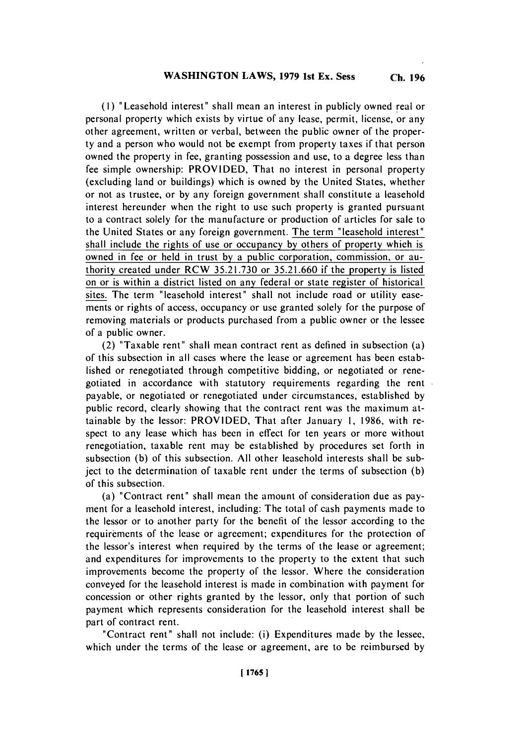**(I)** ' Leasehold interest' shall mean an interest in publicly owned real or personal property which exists **by** virtue of any lease, permit, license, or any other agreement, written or verbal, between the public owner of the property and a person who would not be exempt from property taxes if that person owned the property in fee, granting possession and use, to a degree less than fee simple ownership: PROVIDED, That no interest in personal property (excluding land or buildings) which is owned **by** the United States, whether or not as trustee, or **by** any foreign government shall constitute a leasehold interest hereunder when the right to use such property is granted pursuant to a contract solely for the manufacture or production of articles for sale to the United States or any foreign government. The term "leasehold interest" shall include the rights of use or occupancy **by** others of property which is owned in fee or held in trust **by** a public corporation, commission, or authority created under RCW **35.2 1.730** or **35.2 1.660** if the property is listed on or is within a district listed on any federal or state register of historical sites. The term "leasehold interest" shall not include road or utility easements or rights of access, occupancy or use granted solely for the purpose of removing materials or products purchased from a public owner or the lessee of a public owner.

(2) "Taxable rent" shall mean contract rent as defined in subsection (a) of this subsection in all cases where the lease or agreement has been established or renegotiated through competitive bidding, or negotiated or renegotiated in accordance with statutory requirements regarding the rent payable, or negotiated or renegotiated under circumstances, established **by** public record, clearly showing that the contract rent was the maximum attainable **by** the lessor: PROVIDED, That after January **1, 1986,** with respect to any lease which has been in effect for ten years or more without renegotiation, taxable rent may **be** established **by** procedures set forth in subsection **(b)** of this subsection. **All** other leasehold interests shall be subject to the determination of taxable rent under the terms of subsection **(b)** of this subsection.

(a) "Contract rent" shall mean the amount of consideration due as payment for a leasehold interest, including: The total of cash payments made to the lessor or to another party for the benefit of the lessor according to the requirements of the lease or agreement; expenditures for the protection of the lessor's interest when required **by** the terms of the lease or agreement; and expenditures for improvements to the property to the extent that such improvements become the property of the lessor. Where the consideration conveyed for the leasehold interest is made in combination with payment for concession or other rights granted **by** the lessor, only that portion of such payment which represents consideration for the leasehold interest shall be part of contract rent.

"Contract rent" shall not include: (i) Expenditures made **by** the lessee, which under the terms of the lease or agreement, are to be reimbursed **by**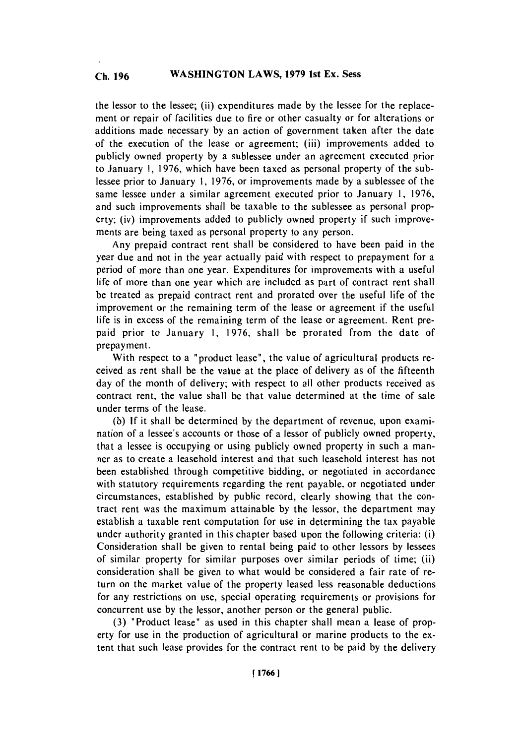### **WASHINGTON LAWS, 1979 1st Ex. Sess Ch. 196**

the lessor to the lessee; (ii) expenditures made **by** the lessee for the replacement or repair of facilities due to fire or other casualty or for alterations or additions made necessary **by** an action of government taken after the date of the execution of the lease or agreement; (iii) improvements added to publicly owned property **by** a sublessee under an agreement executed prior to January **1, 1976,** which have been taxed as personal property of the sublessee prior to January **1, 1976,** or improvements made **by** a sublessee of the same lessee under a similar agreement executed prior to January **1, 1976,** and such improvements shall be taxable to the sublessee as personal property; (iv) improvements added to publicly owned property if such improvements are being taxed as personal property to any person.

Any prepaid contract rent shall be considered to have been paid in the year due and not in the year actually paid with respect to prepayment for a period of more than one year. Expenditures for improvements with a useful life of more than one year which are included as part of contract rent shall be treated as prepaid contract rent and prorated over the useful life of the improvement or the remaining term of the lease or agreement if the useful life is in excess of the remaining term of the lease or agreement. Rent prepaid prior to January **1, 1976,** shall be prorated from the date of prepayment.

With respect to a "product lease", the value of agricultural products received as rent shall be the value at the place of delivery as of the fifteenth day of the month of delivery; with respect to all other products received as contract rent, the value shall be that value determined at the time of sale under terms of the lease.

**(b) If** it shall **be** determined **by** the department of revenue, upon examination of a lessee's accounts or those of a lessor of publicly owned property, that a lessee is occupying or using publicly owned property in such a manner as to create a leasehold interest and that such leasehold interest has not been established through competitive bidding, or negotiated in accordance with statutory requirements regarding the rent payable, or negotiated under circumstances, established **by** public record, clearly showing that the contract rent was the maximum attainable **by** the lessor, the department may establish a taxable rent computation for use in determining the tax payable under authority granted in this chapter based upon the following criteria: (i) Consideration shall be given to rental being paid to other lessors **by** lessees of similar property for similar purposes over similar periods of time; (ii) consideration shall **be** given to what would be considered a fair rate of return on the market value of the property leased less reasonable deductions for any restrictions on use, special operating requirements or provisions for concurrent use **by** the lessor, another person or the general public.

**(3)** "Product lease" as used in this chapter shall mean a lease of property for use in the production of agricultural or marine products to the extent that such lease provides for the contract rent to be paid **by** the delivery